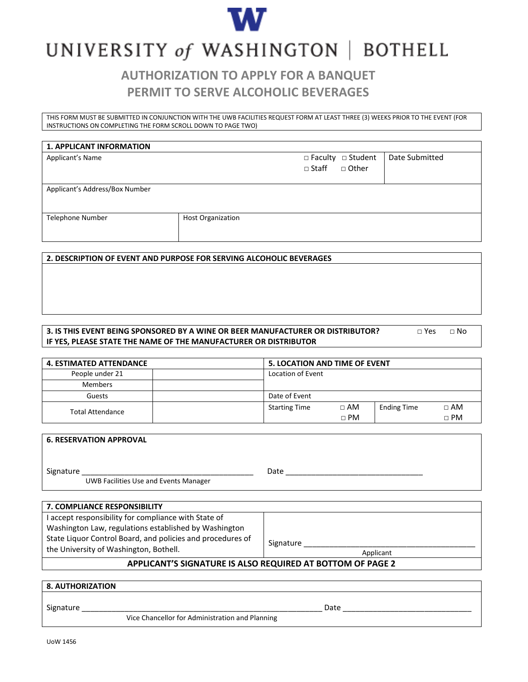

# UNIVERSITY of WASHINGTON | BOTHELL

## **AUTHORIZATION TO APPLY FOR A BANQUET PERMIT TO SERVE ALCOHOLIC BEVERAGES**

THIS FORM MUST BE SUBMITTED IN CONJUNCTION WITH THE UWB FACILITIES REQUEST FORM AT LEAST THREE (3) WEEKS PRIOR TO THE EVENT (FOR INSTRUCTIONS ON COMPLETING THE FORM SCROLL DOWN TO PAGE TWO)

#### **1. APPLICANT INFORMATION**

| Applicant's Name |  |
|------------------|--|
|------------------|--|

□ Faculty □ Student  $\Box$  Staff  $\Box$  Other

Applicant's Address/Box Number

Telephone Number **Host Organization** 

#### **2. DESCRIPTION OF EVENT AND PURPOSE FOR SERVING ALCOHOLIC BEVERAGES**

#### **3. IS THIS EVENT BEING SPONSORED BY A WINE OR BEER MANUFACTURER OR DISTRIBUTOR?** □ ○ Yes □ No **IF YES, PLEASE STATE THE NAME OF THE MANUFACTURER OR DISTRIBUTOR**

Date Submitted

| <b>4. ESTIMATED ATTENDANCE</b> |                      | <b>5. LOCATION AND TIME OF EVENT</b> |                    |             |  |
|--------------------------------|----------------------|--------------------------------------|--------------------|-------------|--|
| People under 21                |                      | Location of Event                    |                    |             |  |
| Members                        |                      |                                      |                    |             |  |
| Guests                         |                      | Date of Event                        |                    |             |  |
| <b>Total Attendance</b>        | <b>Starting Time</b> | $\Box$ AM                            | <b>Ending Time</b> | $\Box$ AM   |  |
|                                |                      | $\sqcap$ PM                          |                    | $\sqcap$ PM |  |

| <b>6. RESERVATION APPROVAL</b>                            |      |
|-----------------------------------------------------------|------|
| Signature<br><b>UWB Facilities Use and Events Manager</b> | Date |
| 7. COMPLIANCE RESPONSIBILITY                              |      |
| I accept responsibility for compliance with State of      |      |

Washington Law, regulations established by Washington State Liquor Control Board, and policies and procedures of the University of Washington, Bothell.

Signature

Applicant

### **APPLICANT'S SIGNATURE IS ALSO REQUIRED AT BOTTOM OF PAGE 2**

#### **8. AUTHORIZATION**

Signature \_\_\_\_\_\_\_\_\_\_\_\_\_\_\_\_\_\_\_\_\_\_\_\_\_\_\_\_\_\_\_\_\_\_\_\_\_\_\_\_\_\_\_\_\_\_\_\_\_\_\_\_\_\_\_\_ Date \_\_\_\_\_\_\_\_\_\_\_\_\_\_\_\_\_\_\_\_\_\_\_\_\_\_\_\_\_\_

Vice Chancellor for Administration and Planning